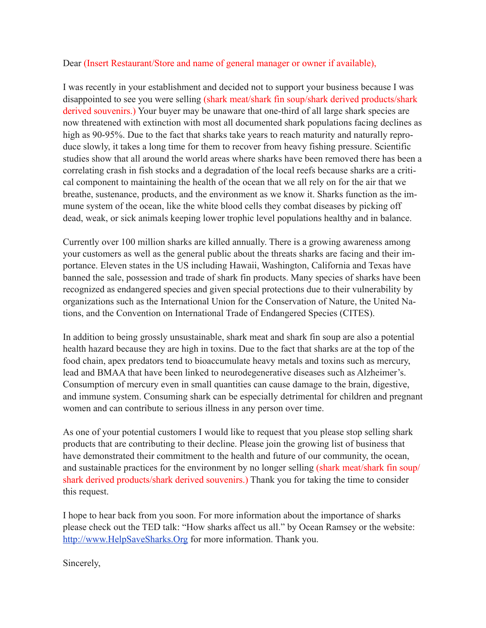## Dear (Insert Restaurant/Store and name of general manager or owner if available),

I was recently in your establishment and decided not to support your business because I was disappointed to see you were selling (shark meat/shark fin soup/shark derived products/shark derived souvenirs.) Your buyer may be unaware that one-third of all large shark species are now threatened with extinction with most all documented shark populations facing declines as high as 90-95%. Due to the fact that sharks take years to reach maturity and naturally reproduce slowly, it takes a long time for them to recover from heavy fishing pressure. Scientific studies show that all around the world areas where sharks have been removed there has been a correlating crash in fish stocks and a degradation of the local reefs because sharks are a critical component to maintaining the health of the ocean that we all rely on for the air that we breathe, sustenance, products, and the environment as we know it. Sharks function as the immune system of the ocean, like the white blood cells they combat diseases by picking off dead, weak, or sick animals keeping lower trophic level populations healthy and in balance.

Currently over 100 million sharks are killed annually. There is a growing awareness among your customers as well as the general public about the threats sharks are facing and their importance. Eleven states in the US including Hawaii, Washington, California and Texas have banned the sale, possession and trade of shark fin products. Many species of sharks have been recognized as endangered species and given special protections due to their vulnerability by organizations such as the International Union for the Conservation of Nature, the United Nations, and the Convention on International Trade of Endangered Species (CITES).

In addition to being grossly unsustainable, shark meat and shark fin soup are also a potential health hazard because they are high in toxins. Due to the fact that sharks are at the top of the food chain, apex predators tend to bioaccumulate heavy metals and toxins such as mercury, lead and BMAA that have been linked to neurodegenerative diseases such as Alzheimer's. Consumption of mercury even in small quantities can cause damage to the brain, digestive, and immune system. Consuming shark can be especially detrimental for children and pregnant women and can contribute to serious illness in any person over time.

As one of your potential customers I would like to request that you please stop selling shark products that are contributing to their decline. Please join the growing list of business that have demonstrated their commitment to the health and future of our community, the ocean, and sustainable practices for the environment by no longer selling (shark meat/shark fin soup/ shark derived products/shark derived souvenirs.) Thank you for taking the time to consider this request.

I hope to hear back from you soon. For more information about the importance of sharks please check out the TED talk: "How sharks affect us all." by Ocean Ramsey or the website: <http://www.HelpSaveSharks.Org>for more information. Thank you.

Sincerely,